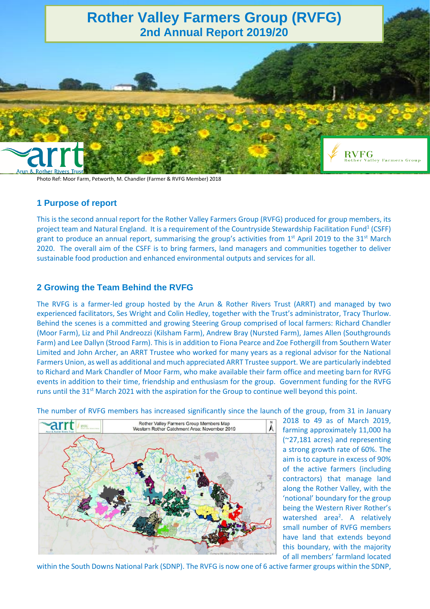

Photo Ref: Moor Farm, Petworth, M. Chandler (Farmer & RVFG Member) 2018

### **1 Purpose of report**

This is the second annual report for the Rother Valley Farmers Group (RVFG) produced for group members, its project team and Natural England. It is a requirement of the Countryside Stewardship Facilitation Fund<sup>1</sup> (CSFF) grant to produce an annual report, summarising the group's activities from 1<sup>st</sup> April 2019 to the 31<sup>st</sup> March 2020. The overall aim of the CSFF is to bring farmers, land managers and communities together to deliver sustainable food production and enhanced environmental outputs and services for all.

#### **2 Growing the Team Behind the RVFG**

The RVFG is a farmer-led group hosted by the Arun & Rother Rivers Trust (ARRT) and managed by two experienced facilitators, Ses Wright and Colin Hedley, together with the Trust's administrator, Tracy Thurlow. Behind the scenes is a committed and growing Steering Group comprised of local farmers: Richard Chandler (Moor Farm), Liz and Phil Andreozzi (Kilsham Farm), Andrew Bray (Nursted Farm), James Allen (Southgrounds Farm) and Lee Dallyn (Strood Farm). This is in addition to Fiona Pearce and Zoe Fothergill from Southern Water Limited and John Archer, an ARRT Trustee who worked for many years as a regional advisor for the National Farmers Union, as well as additional and much appreciated ARRT Trustee support. We are particularly indebted to Richard and Mark Chandler of Moor Farm, who make available their farm office and meeting barn for RVFG events in addition to their time, friendship and enthusiasm for the group. Government funding for the RVFG runs until the 31<sup>st</sup> March 2021 with the aspiration for the Group to continue well beyond this point.

The number of RVFG members has increased significantly since the launch of the group, from 31 in January



2018 to 49 as of March 2019, farming approximately 11,000 ha (~27,181 acres) and representing a strong growth rate of 60%. The aim is to capture in excess of 90% of the active farmers (including contractors) that manage land along the Rother Valley, with the 'notional' boundary for the group being the Western River Rother's watershed area<sup>2</sup>. A relatively small number of RVFG members have land that extends beyond this boundary, with the majority of all members' farmland located

within the South Downs National Park (SDNP). The RVFG is now one of 6 active farmer groups within the SDNP,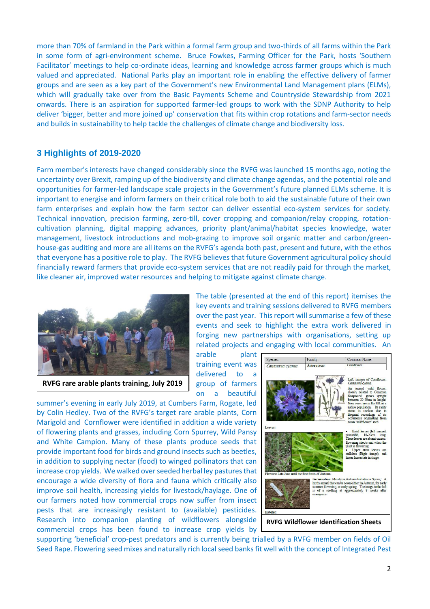more than 70% of farmland in the Park within a formal farm group and two-thirds of all farms within the Park in some form of agri-environment scheme. Bruce Fowkes, Farming Officer for the Park, hosts 'Southern Facilitator' meetings to help co-ordinate ideas, learning and knowledge across farmer groups which is much valued and appreciated. National Parks play an important role in enabling the effective delivery of farmer groups and are seen as a key part of the Government's new Environmental Land Management plans (ELMs), which will gradually take over from the Basic Payments Scheme and Countryside Stewardship from 2021 onwards. There is an aspiration for supported farmer-led groups to work with the SDNP Authority to help deliver 'bigger, better and more joined up' conservation that fits within crop rotations and farm-sector needs and builds in sustainability to help tackle the challenges of climate change and biodiversity loss.

## **3 Highlights of 2019-2020**

Farm member's interests have changed considerably since the RVFG was launched 15 months ago, noting the uncertainty over Brexit, ramping up of the biodiversity and climate change agendas, and the potential role and opportunities for farmer-led landscape scale projects in the Government's future planned ELMs scheme. It is important to energise and inform farmers on their critical role both to aid the sustainable future of their own farm enterprises and explain how the farm sector can deliver essential eco-system services for society. Technical innovation, precision farming, zero-till, cover cropping and companion/relay cropping, rotationcultivation planning, digital mapping advances, priority plant/animal/habitat species knowledge, water management, livestock introductions and mob-grazing to improve soil organic matter and carbon/greenhouse-gas auditing and more are all items on the RVFG's agenda both past, present and future, with the ethos that everyone has a positive role to play. The RVFG believes that future Government agricultural policy should financially reward farmers that provide eco-system services that are not readily paid for through the market, like cleaner air, improved water resources and helping to mitigate against climate change.



**RVFG rare arable plants training, July 2019**

The table (presented at the end of this report) itemises the key events and training sessions delivered to RVFG members over the past year. This report will summarise a few of these events and seek to highlight the extra work delivered in forging new partnerships with organisations, setting up related projects and engaging with local communities. An

arable plant training event was delivered to a group of farmers on a beautiful

summer's evening in early July 2019, at Cumbers Farm, Rogate, led by Colin Hedley. Two of the RVFG's target rare arable plants, Corn Marigold and Cornflower were identified in addition a wide variety of flowering plants and grasses, including Corn Spurrey, Wild Pansy and White Campion. Many of these plants produce seeds that provide important food for birds and ground insects such as beetles, in addition to supplying nectar (food) to winged pollinators that can increase crop yields. We walked over seeded herbal ley pastures that encourage a wide diversity of flora and fauna which critically also improve soil health, increasing yields for livestock/haylage. One of our farmers noted how commercial crops now suffer from insect pests that are increasingly resistant to (available) pesticides. Research into companion planting of wildflowers alongside commercial crops has been found to increase crop yields by



supporting 'beneficial' crop-pest predators and is currently being trialled by a RVFG member on fields of Oil Seed Rape. Flowering seed mixes and naturally rich local seed banks fit well with the concept of Integrated Pest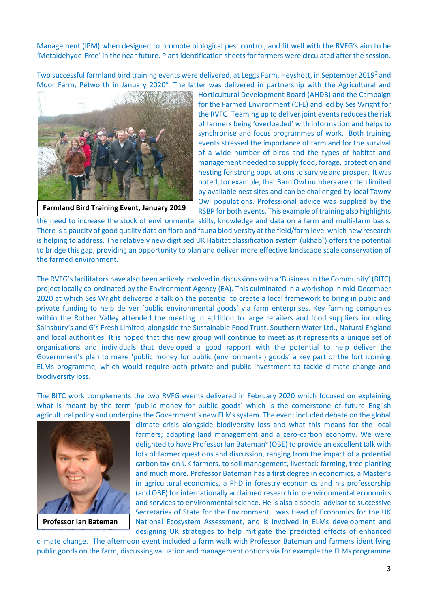Management (IPM) when designed to promote biological pest control, and fit well with the RVFG's aim to be 'Metaldehyde-Free' in the near future. Plant identification sheets for farmers were circulated after the session.

Two successful farmland bird training events were delivered, at Leggs Farm, Heyshott, in September 2019<sup>3</sup> and Moor Farm, Petworth in January 2020<sup>4</sup>. The latter was delivered in partnership with the Agricultural and



**Farmland Bird Training Event, January 2019**

Horticultural Development Board (AHDB) and the Campaign for the Farmed Environment (CFE) and led by Ses Wright for the RVFG. Teaming up to deliver joint events reduces the risk of farmers being 'overloaded' with information and helps to synchronise and focus programmes of work. Both training events stressed the importance of farmland for the survival of a wide number of birds and the types of habitat and management needed to supply food, forage, protection and nesting for strong populationsto survive and prosper. It was noted, for example, that Barn Owl numbers are often limited by available nest sites and can be challenged by local Tawny Owl populations. Professional advice was supplied by the RSBP for both events. This example of training also highlights

the need to increase the stock of environmental skills, knowledge and data on a farm and multi-farm basis. There is a paucity of good quality data on flora and fauna biodiversity at the field/farm level which new research is helping to address. The relatively new digitised UK Habitat classification system (ukhab<sup>5</sup>) offers the potential to bridge this gap, providing an opportunity to plan and deliver more effective landscape scale conservation of the farmed environment.

The RVFG's facilitators have also been actively involved in discussions with a 'Business in the Community' (BITC) project locally co-ordinated by the Environment Agency (EA). This culminated in a workshop in mid-December 2020 at which Ses Wright delivered a talk on the potential to create a local framework to bring in pubic and private funding to help deliver 'public environmental goods' via farm enterprises. Key farming companies within the Rother Valley attended the meeting in addition to large retailers and food suppliers including Sainsbury's and G's Fresh Limited, alongside the Sustainable Food Trust, Southern Water Ltd., Natural England and local authorities. It is hoped that this new group will continue to meet as it represents a unique set of organisations and individuals that developed a good rapport with the potential to help deliver the Government's plan to make 'public money for public (environmental) goods' a key part of the forthcoming ELMs programme, which would require both private and public investment to tackle climate change and biodiversity loss.

The BITC work complements the two RVFG events delivered in February 2020 which focused on explaining what is meant by the term 'public money for public goods' which is the cornerstone of future English agricultural policy and underpins the Government's new ELMs system. The event included debate on the global



**Professor Ian Bateman**

climate crisis alongside biodiversity loss and what this means for the local farmers; adapting land management and a zero-carbon economy. We were delighted to have Professor Ian Bateman<sup>6</sup> (OBE) to provide an excellent talk with lots of farmer questions and discussion, ranging from the impact of a potential carbon tax on UK farmers, to soil management, livestock farming, tree planting and much more. Professor Bateman has a first degree in economics, a Master's in agricultural economics, a PhD in forestry economics and his professorship (and OBE) for internationally acclaimed research into environmental economics and services to environmental science. He is also a special advisor to successive Secretaries of State for the Environment, was Head of Economics for the UK National Ecosystem Assessment, and is involved in ELMs development and designing UK strategies to help mitigate the predicted effects of enhanced

climate change. The afternoon event included a farm walk with Professor Bateman and farmers identifying public goods on the farm, discussing valuation and management options via for example the ELMs programme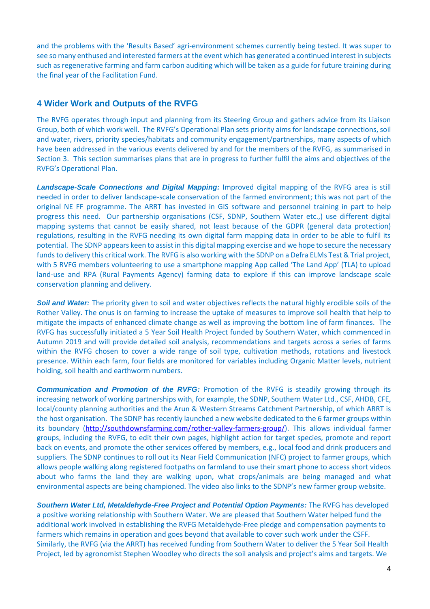and the problems with the 'Results Based' agri-environment schemes currently being tested. It was super to see so many enthused and interested farmers at the event which has generated a continued interest in subjects such as regenerative farming and farm carbon auditing which will be taken as a guide for future training during the final year of the Facilitation Fund.

## **4 Wider Work and Outputs of the RVFG**

The RVFG operates through input and planning from its Steering Group and gathers advice from its Liaison Group, both of which work well. The RVFG's Operational Plan sets priority aims for landscape connections, soil and water, rivers, priority species/habitats and community engagement/partnerships, many aspects of which have been addressed in the various events delivered by and for the members of the RVFG, as summarised in Section 3. This section summarises plans that are in progress to further fulfil the aims and objectives of the RVFG's Operational Plan.

*Landscape-Scale Connections and Digital Mapping:* Improved digital mapping of the RVFG area is still needed in order to deliver landscape-scale conservation of the farmed environment; this was not part of the original NE FF programme. The ARRT has invested in GIS software and personnel training in part to help progress this need. Our partnership organisations (CSF, SDNP, Southern Water etc.,) use different digital mapping systems that cannot be easily shared, not least because of the GDPR (general data protection) regulations, resulting in the RVFG needing its own digital farm mapping data in order to be able to fulfil its potential. The SDNP appears keen to assist in this digital mapping exercise and we hope to secure the necessary funds to delivery this critical work. The RVFG is also working with the SDNP on a Defra ELMs Test & Trial project, with 5 RVFG members volunteering to use a smartphone mapping App called 'The Land App' (TLA) to upload land-use and RPA (Rural Payments Agency) farming data to explore if this can improve landscape scale conservation planning and delivery.

**Soil and Water:** The priority given to soil and water objectives reflects the natural highly erodible soils of the Rother Valley. The onus is on farming to increase the uptake of measures to improve soil health that help to mitigate the impacts of enhanced climate change as well as improving the bottom line of farm finances. The RVFG has successfully initiated a 5 Year Soil Health Project funded by Southern Water, which commenced in Autumn 2019 and will provide detailed soil analysis, recommendations and targets across a series of farms within the RVFG chosen to cover a wide range of soil type, cultivation methods, rotations and livestock presence. Within each farm, four fields are monitored for variables including Organic Matter levels, nutrient holding, soil health and earthworm numbers.

*Communication and Promotion of the RVFG:* Promotion of the RVFG is steadily growing through its increasing network of working partnerships with, for example, the SDNP, Southern Water Ltd., CSF, AHDB, CFE, local/county planning authorities and the Arun & Western Streams Catchment Partnership, of which ARRT is the host organisation. The SDNP has recently launched a new website dedicated to the 6 farmer groups within its boundary [\(http://southdownsfarming.com/rother-valley-farmers-group/\)](http://southdownsfarming.com/rother-valley-farmers-group/). This allows individual farmer groups, including the RVFG, to edit their own pages, highlight action for target species, promote and report back on events, and promote the other services offered by members, e.g., local food and drink producers and suppliers. The SDNP continues to roll out its Near Field Communication (NFC) project to farmer groups, which allows people walking along registered footpaths on farmland to use their smart phone to access short videos about who farms the land they are walking upon, what crops/animals are being managed and what environmental aspects are being championed. The video also links to the SDNP's new farmer group website.

*Southern Water Ltd, Metaldehyde-Free Project and Potential Option Payments:* The RVFG has developed a positive working relationship with Southern Water. We are pleased that Southern Water helped fund the additional work involved in establishing the RVFG Metaldehyde-Free pledge and compensation payments to farmers which remains in operation and goes beyond that available to cover such work under the CSFF. Similarly, the RVFG (via the ARRT) has received funding from Southern Water to deliver the 5 Year Soil Health Project, led by agronomist Stephen Woodley who directs the soil analysis and project's aims and targets. We